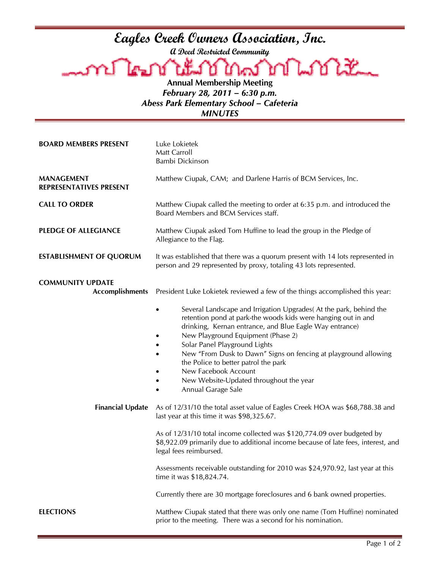## **Eagles Creek Owners Association, Inc. A Deed Restricted Community Annual Membership Meeting**  *February 28, 2011 – 6:30 p.m. Abess Park Elementary School – Cafeteria MINUTES*  **BOARD MEMBERS PRESENT** Luke Lokietek Matt Carroll Bambi Dickinson **MANAGEMENT REPRESENTATIVES PRESENT**  Matthew Ciupak, CAM; and Darlene Harris of BCM Services, Inc. **CALL TO ORDER** Matthew Ciupak called the meeting to order at 6:35 p.m. and introduced the Board Members and BCM Services staff. **PLEDGE OF ALLEGIANCE** Matthew Ciupak asked Tom Huffine to lead the group in the Pledge of Allegiance to the Flag. **ESTABLISHMENT OF QUORUM** It was established that there was a quorum present with 14 lots represented in person and 29 represented by proxy, totaling 43 lots represented. **COMMUNITY UPDATE Accomplishments** President Luke Lokietek reviewed a few of the things accomplished this year: Several Landscape and Irrigation Upgrades (At the park, behind the retention pond at park-the woods kids were hanging out in and drinking, Kernan entrance, and Blue Eagle Way entrance) • New Playground Equipment (Phase 2) • Solar Panel Playground Lights • New "From Dusk to Dawn" Signs on fencing at playground allowing the Police to better patrol the park • New Facebook Account • New Website-Updated throughout the year • Annual Garage Sale **Financial Update** As of 12/31/10 the total asset value of Eagles Creek HOA was \$68,788.38 and last year at this time it was \$98,325.67. As of 12/31/10 total income collected was \$120,774.09 over budgeted by \$8,922.09 primarily due to additional income because of late fees, interest, and legal fees reimbursed. Assessments receivable outstanding for 2010 was \$24,970.92, last year at this time it was \$18,824.74. Currently there are 30 mortgage foreclosures and 6 bank owned properties.

**ELECTIONS** Matthew Ciupak stated that there was only one name (Tom Huffine) nominated prior to the meeting. There was a second for his nomination.